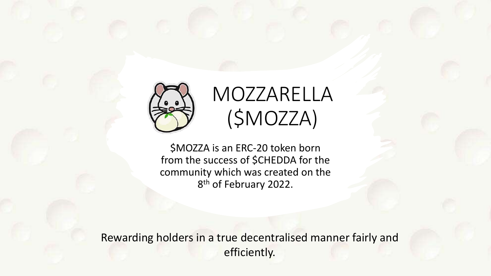

### MOZZARELLA (\$MOZZA)

\$MOZZA is an ERC-20 token born from the success of \$CHEDDA for the community which was created on the 8<sup>th</sup> of February 2022.

Rewarding holders in a true decentralised manner fairly and efficiently.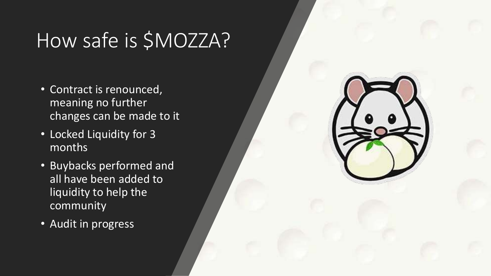## How safe is \$MOZZA?

- Contract is renounced, meaning no further changes can be made to it
- Locked Liquidity for 3 months
- Buybacks performed and all have been added to liquidity to help the community
- Audit in progress

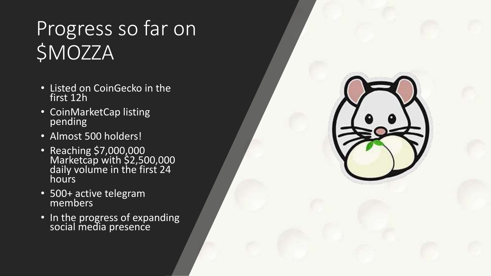# Progress so far on \$MOZZA

- Listed on CoinGecko in the first 12h
- CoinMarketCap listing pending
- Almost 500 holders!
- Reaching \$7,000,000 Marketcap with \$2,500,000 daily volume in the first 24 hours
- 500+ active telegram members<sup>®</sup>
- In the progress of expanding social media presence

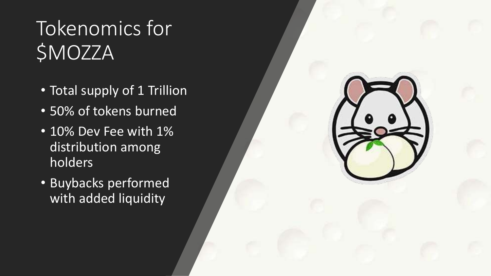# Tokenomics for \$MOZZA

- Total supply of 1 Trillion
- 50% of tokens burned
- 10% Dev Fee with 1% distribution among holders
- Buybacks performed with added liquidity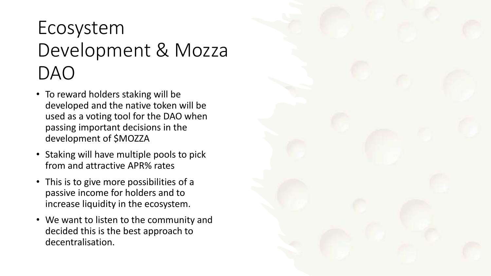#### Ecosystem Development & Mozza DAO

- To reward holders staking will be developed and the native token will be used as a voting tool for the DAO when passing important decisions in the development of \$MOZZA
- Staking will have multiple pools to pick from and attractive APR% rates
- This is to give more possibilities of a passive income for holders and to increase liquidity in the ecosystem.
- We want to listen to the community and decided this is the best approach to decentralisation.